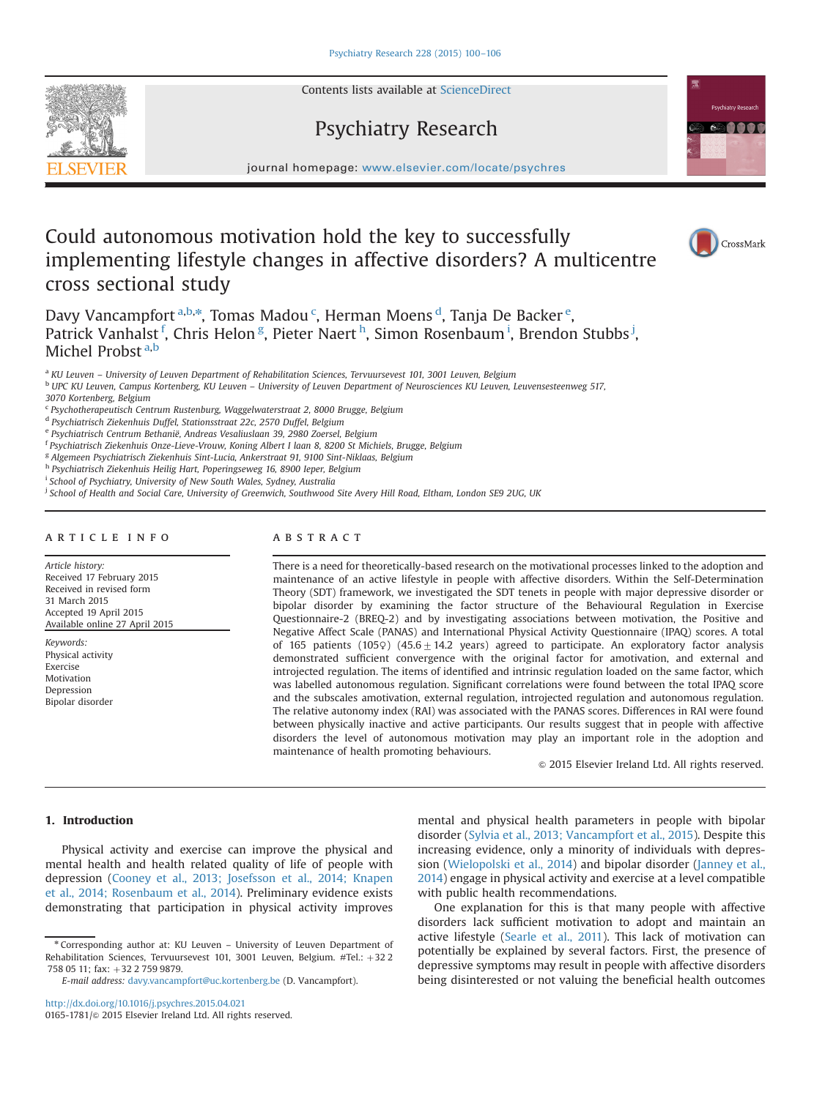Contents lists available at [ScienceDirect](www.sciencedirect.com/science/journal/01651781)

## Psychiatry Research



journal homepage: <www.elsevier.com/locate/psychres>e/psychrese/psychrese/psychrese/psychrese/psychrese/psychrese/psychrese/psychrese/psychrese/psychrese/psychrese/psychrese/psychrese/psychrese/psychrese/psychrese/psychrese

## Could autonomous motivation hold the key to successfully implementing lifestyle changes in affective disorders? A multicentre cross sectional study



Davy Vancampfort <sup>a,b,</sup>\*, Tomas Madou <sup>c</sup>, Herman Moens <sup>d</sup>, Tanja De Backer <sup>e</sup>, Patrick Vanhalst <sup>f</sup>, Chris Helon <sup>g</sup>, Pieter Naert <sup>h</sup>, Simon Rosenbaum <sup>i</sup>, Brendon Stubbs <sup>j</sup>, Michel Probst<sup>a,b</sup>

<sup>a</sup> KU Leuven - University of Leuven Department of Rehabilitation Sciences, Tervuursevest 101, 3001 Leuven, Belgium

<sup>b</sup> UPC KU Leuven, Campus Kortenberg, KU Leuven – University of Leuven Department of Neurosciences KU Leuven, Leuvensesteenweg 517, 3070 Kortenberg, Belgium

<sup>c</sup> Psychotherapeutisch Centrum Rustenburg, Waggelwaterstraat 2, 8000 Brugge, Belgium

<sup>d</sup> Psychiatrisch Ziekenhuis Duffel, Stationsstraat 22c, 2570 Duffel, Belgium

<sup>e</sup> Psychiatrisch Centrum Bethanië, Andreas Vesaliuslaan 39, 2980 Zoersel, Belgium

<sup>f</sup> Psychiatrisch Ziekenhuis Onze-Lieve-Vrouw, Koning Albert I laan 8, 8200 St Michiels, Brugge, Belgium

<sup>g</sup> Algemeen Psychiatrisch Ziekenhuis Sint-Lucia, Ankerstraat 91, 9100 Sint-Niklaas, Belgium

h Psychiatrisch Ziekenhuis Heilig Hart, Poperingseweg 16, 8900 Ieper, Belgium

<sup>i</sup> School of Psychiatry, University of New South Wales, Sydney, Australia

<sup>j</sup> School of Health and Social Care, University of Greenwich, Southwood Site Avery Hill Road, Eltham, London SE9 2UG, UK

### article info

Article history: Received 17 February 2015 Received in revised form 31 March 2015 Accepted 19 April 2015 Available online 27 April 2015

Keywords: Physical activity Exercise Motivation Depression Bipolar disorder

## ABSTRACT

There is a need for theoretically-based research on the motivational processes linked to the adoption and maintenance of an active lifestyle in people with affective disorders. Within the Self-Determination Theory (SDT) framework, we investigated the SDT tenets in people with major depressive disorder or bipolar disorder by examining the factor structure of the Behavioural Regulation in Exercise Questionnaire-2 (BREQ-2) and by investigating associations between motivation, the Positive and Negative Affect Scale (PANAS) and International Physical Activity Questionnaire (IPAQ) scores. A total of 165 patients (105 $\varphi$ ) (45.6  $\pm$  14.2 years) agreed to participate. An exploratory factor analysis demonstrated sufficient convergence with the original factor for amotivation, and external and introjected regulation. The items of identified and intrinsic regulation loaded on the same factor, which was labelled autonomous regulation. Significant correlations were found between the total IPAQ score and the subscales amotivation, external regulation, introjected regulation and autonomous regulation. The relative autonomy index (RAI) was associated with the PANAS scores. Differences in RAI were found between physically inactive and active participants. Our results suggest that in people with affective disorders the level of autonomous motivation may play an important role in the adoption and maintenance of health promoting behaviours.

 $\odot$  2015 Elsevier Ireland Ltd. All rights reserved.

### 1. Introduction

Physical activity and exercise can improve the physical and mental health and health related quality of life of people with depression (Cooney et al., 2013; Josefsson et al., 2014; Knapen et al., 2014; Rosenbaum et al., 2014). Preliminary evidence exists demonstrating that participation in physical activity improves mental and physical health parameters in people with bipolar disorder (Sylvia et al., 2013; Vancampfort et al., 2015). Despite this increasing evidence, only a minority of individuals with depression (Wielopolski et al., 2014) and bipolar disorder (Janney et al., 2014) engage in physical activity and exercise at a level compatible with public health recommendations.

One explanation for this is that many people with affective disorders lack sufficient motivation to adopt and maintain an active lifestyle (Searle et al., 2011). This lack of motivation can potentially be explained by several factors. First, the presence of depressive symptoms may result in people with affective disorders being disinterested or not valuing the beneficial health outcomes

<sup>n</sup> Corresponding author at: KU Leuven – University of Leuven Department of Rehabilitation Sciences, Tervuursevest 101, 3001 Leuven, Belgium. #Tel.:  $+322$ 758 05 11; fax: +32 2 759 9879.

E-mail address: [davy.vancampfort@uc.kortenberg.be](mailto:davy.vancampfort@uc.kortenberg.be) (D. Vancampfort).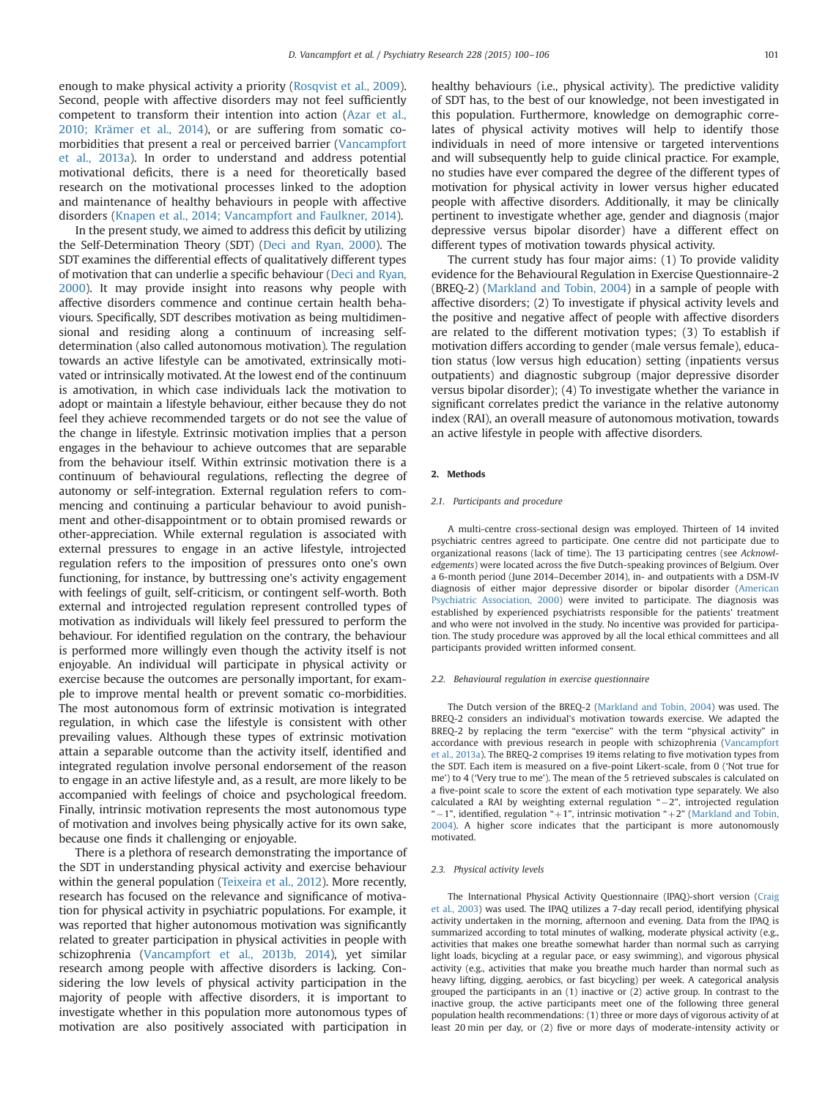enough to make physical activity a priority (Rosqvist et al., 2009). Second, people with affective disorders may not feel sufficiently competent to transform their intention into action (Azar et al., 2010; Krämer et al., 2014), or are suffering from somatic comorbidities that present a real or perceived barrier (Vancampfort et al., 2013a). In order to understand and address potential motivational deficits, there is a need for theoretically based research on the motivational processes linked to the adoption and maintenance of healthy behaviours in people with affective disorders (Knapen et al., 2014; Vancampfort and Faulkner, 2014).

In the present study, we aimed to address this deficit by utilizing the Self-Determination Theory (SDT) (Deci and Ryan, 2000). The SDT examines the differential effects of qualitatively different types of motivation that can underlie a specific behaviour (Deci and Ryan, 2000). It may provide insight into reasons why people with affective disorders commence and continue certain health behaviours. Specifically, SDT describes motivation as being multidimensional and residing along a continuum of increasing selfdetermination (also called autonomous motivation). The regulation towards an active lifestyle can be amotivated, extrinsically motivated or intrinsically motivated. At the lowest end of the continuum is amotivation, in which case individuals lack the motivation to adopt or maintain a lifestyle behaviour, either because they do not feel they achieve recommended targets or do not see the value of the change in lifestyle. Extrinsic motivation implies that a person engages in the behaviour to achieve outcomes that are separable from the behaviour itself. Within extrinsic motivation there is a continuum of behavioural regulations, reflecting the degree of autonomy or self-integration. External regulation refers to commencing and continuing a particular behaviour to avoid punishment and other-disappointment or to obtain promised rewards or other-appreciation. While external regulation is associated with external pressures to engage in an active lifestyle, introjected regulation refers to the imposition of pressures onto one's own functioning, for instance, by buttressing one's activity engagement with feelings of guilt, self-criticism, or contingent self-worth. Both external and introjected regulation represent controlled types of motivation as individuals will likely feel pressured to perform the behaviour. For identified regulation on the contrary, the behaviour is performed more willingly even though the activity itself is not enjoyable. An individual will participate in physical activity or exercise because the outcomes are personally important, for example to improve mental health or prevent somatic co-morbidities. The most autonomous form of extrinsic motivation is integrated regulation, in which case the lifestyle is consistent with other prevailing values. Although these types of extrinsic motivation attain a separable outcome than the activity itself, identified and integrated regulation involve personal endorsement of the reason to engage in an active lifestyle and, as a result, are more likely to be accompanied with feelings of choice and psychological freedom. Finally, intrinsic motivation represents the most autonomous type of motivation and involves being physically active for its own sake, because one finds it challenging or enjoyable.

There is a plethora of research demonstrating the importance of the SDT in understanding physical activity and exercise behaviour within the general population (Teixeira et al., 2012). More recently, research has focused on the relevance and significance of motivation for physical activity in psychiatric populations. For example, it was reported that higher autonomous motivation was significantly related to greater participation in physical activities in people with schizophrenia (Vancampfort et al., 2013b, 2014), yet similar research among people with affective disorders is lacking. Considering the low levels of physical activity participation in the majority of people with affective disorders, it is important to investigate whether in this population more autonomous types of motivation are also positively associated with participation in

healthy behaviours (i.e., physical activity). The predictive validity of SDT has, to the best of our knowledge, not been investigated in this population. Furthermore, knowledge on demographic correlates of physical activity motives will help to identify those individuals in need of more intensive or targeted interventions and will subsequently help to guide clinical practice. For example, no studies have ever compared the degree of the different types of motivation for physical activity in lower versus higher educated people with affective disorders. Additionally, it may be clinically pertinent to investigate whether age, gender and diagnosis (major depressive versus bipolar disorder) have a different effect on different types of motivation towards physical activity.

The current study has four major aims: (1) To provide validity evidence for the Behavioural Regulation in Exercise Questionnaire-2 (BREQ-2) (Markland and Tobin, 2004) in a sample of people with affective disorders; (2) To investigate if physical activity levels and the positive and negative affect of people with affective disorders are related to the different motivation types; (3) To establish if motivation differs according to gender (male versus female), education status (low versus high education) setting (inpatients versus outpatients) and diagnostic subgroup (major depressive disorder versus bipolar disorder); (4) To investigate whether the variance in significant correlates predict the variance in the relative autonomy index (RAI), an overall measure of autonomous motivation, towards an active lifestyle in people with affective disorders.

#### 2. Methods

#### 2.1. Participants and procedure

A multi-centre cross-sectional design was employed. Thirteen of 14 invited psychiatric centres agreed to participate. One centre did not participate due to organizational reasons (lack of time). The 13 participating centres (see Acknowledgements) were located across the five Dutch-speaking provinces of Belgium. Over a 6-month period (June 2014–December 2014), in- and outpatients with a DSM-IV diagnosis of either major depressive disorder or bipolar disorder (American Psychiatric Association, 2000) were invited to participate. The diagnosis was established by experienced psychiatrists responsible for the patients' treatment and who were not involved in the study. No incentive was provided for participation. The study procedure was approved by all the local ethical committees and all participants provided written informed consent.

#### 2.2. Behavioural regulation in exercise questionnaire

The Dutch version of the BREQ-2 (Markland and Tobin, 2004) was used. The BREQ-2 considers an individual's motivation towards exercise. We adapted the BREQ-2 by replacing the term "exercise" with the term "physical activity" in accordance with previous research in people with schizophrenia (Vancampfort et al., 2013a). The BREQ-2 comprises 19 items relating to five motivation types from the SDT. Each item is measured on a five-point Likert-scale, from 0 ('Not true for me') to 4 ('Very true to me'). The mean of the 5 retrieved subscales is calculated on a five-point scale to score the extent of each motivation type separately. We also calculated a RAI by weighting external regulation "-2", introjected regulation " $-1$ ", identified, regulation " $+1$ ", intrinsic motivation " $+2$ " (Markland and Tobin, 2004). A higher score indicates that the participant is more autonomously motivated.

#### 2.3. Physical activity levels

The International Physical Activity Questionnaire (IPAQ)-short version (Craig et al., 2003) was used. The IPAQ utilizes a 7-day recall period, identifying physical activity undertaken in the morning, afternoon and evening. Data from the IPAQ is summarized according to total minutes of walking, moderate physical activity (e.g., activities that makes one breathe somewhat harder than normal such as carrying light loads, bicycling at a regular pace, or easy swimming), and vigorous physical activity (e.g., activities that make you breathe much harder than normal such as heavy lifting, digging, aerobics, or fast bicycling) per week. A categorical analysis grouped the participants in an (1) inactive or (2) active group. In contrast to the inactive group, the active participants meet one of the following three general population health recommendations: (1) three or more days of vigorous activity of at least 20 min per day, or (2) five or more days of moderate-intensity activity or